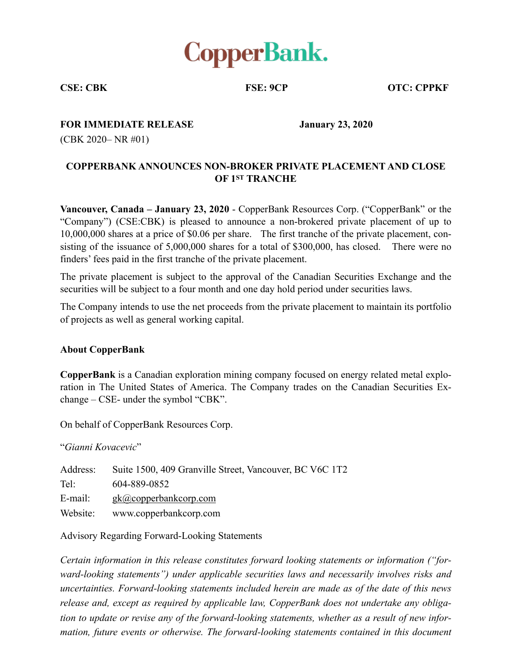

**CSE: CBK FSE: 9CP OTC: CPPKF** 

## **FOR IMMEDIATE RELEASE January 23, 2020**

(CBK 2020– NR #01)

## **COPPERBANK ANNOUNCES NON-BROKER PRIVATE PLACEMENT AND CLOSE OF 1ST TRANCHE**

**Vancouver, Canada – January 23, 2020** - CopperBank Resources Corp. ("CopperBank" or the "Company") (CSE:CBK) is pleased to announce a non-brokered private placement of up to 10,000,000 shares at a price of \$0.06 per share. The first tranche of the private placement, consisting of the issuance of 5,000,000 shares for a total of \$300,000, has closed. There were no finders' fees paid in the first tranche of the private placement.

The private placement is subject to the approval of the Canadian Securities Exchange and the securities will be subject to a four month and one day hold period under securities laws.

The Company intends to use the net proceeds from the private placement to maintain its portfolio of projects as well as general working capital.

## **About CopperBank**

**CopperBank** is a Canadian exploration mining company focused on energy related metal exploration in The United States of America. The Company trades on the Canadian Securities Exchange – CSE- under the symbol "CBK".

On behalf of CopperBank Resources Corp.

"*Gianni Kovacevic*"

| Address: | Suite 1500, 409 Granville Street, Vancouver, BC V6C 1T2 |
|----------|---------------------------------------------------------|
| Tel:     | 604-889-0852                                            |
| E-mail:  | $g\mathbf{k}$ <i>(a)</i> copperbank corp.com            |
| Website: | www.copperbankcorp.com                                  |

Advisory Regarding Forward-Looking Statements

*Certain information in this release constitutes forward looking statements or information ("forward-looking statements") under applicable securities laws and necessarily involves risks and uncertainties. Forward-looking statements included herein are made as of the date of this news release and, except as required by applicable law, CopperBank does not undertake any obligation to update or revise any of the forward-looking statements, whether as a result of new information, future events or otherwise. The forward-looking statements contained in this document*